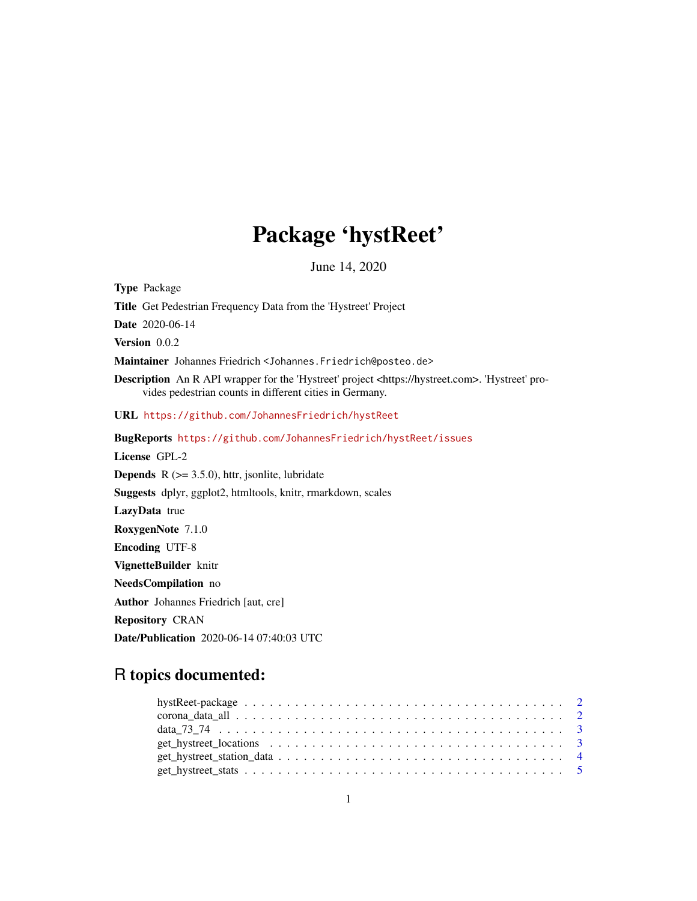## Package 'hystReet'

June 14, 2020

<span id="page-0-0"></span>Type Package Title Get Pedestrian Frequency Data from the 'Hystreet' Project Date 2020-06-14 Version 0.0.2 Maintainer Johannes Friedrich <Johannes.Friedrich@posteo.de> Description An R API wrapper for the 'Hystreet' project <https://hystreet.com>. 'Hystreet' provides pedestrian counts in different cities in Germany. URL <https://github.com/JohannesFriedrich/hystReet> BugReports <https://github.com/JohannesFriedrich/hystReet/issues> License GPL-2 **Depends** R  $(>= 3.5.0)$ , httr, jsonlite, lubridate Suggests dplyr, ggplot2, htmltools, knitr, rmarkdown, scales LazyData true RoxygenNote 7.1.0 Encoding UTF-8 VignetteBuilder knitr NeedsCompilation no Author Johannes Friedrich [aut, cre] Repository CRAN

Date/Publication 2020-06-14 07:40:03 UTC

# R topics documented: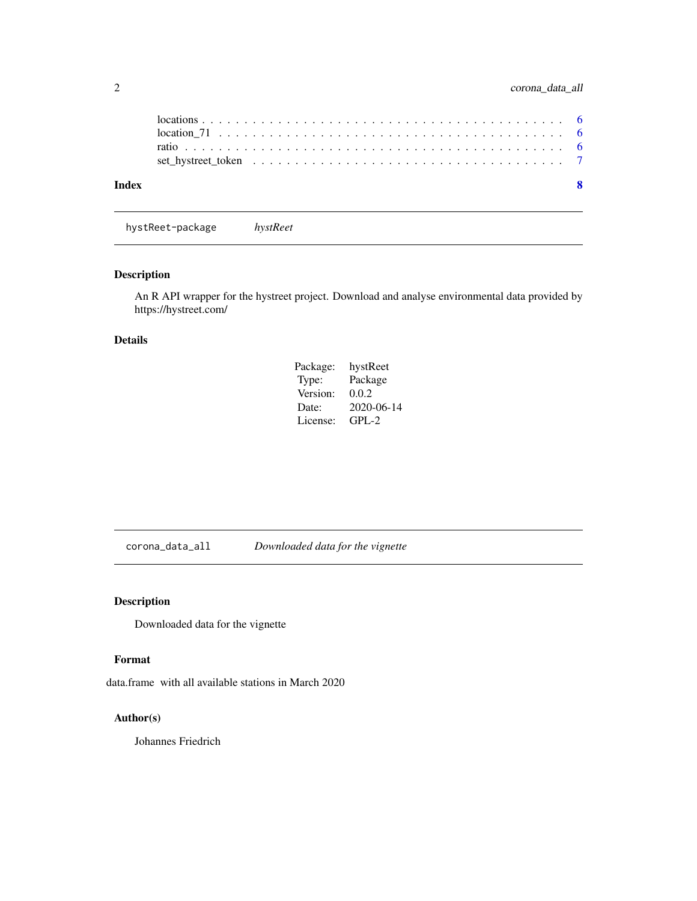<span id="page-1-0"></span>

| Index | $\bullet$ |  |
|-------|-----------|--|

hystReet-package *hystReet*

#### Description

An R API wrapper for the hystreet project. Download and analyse environmental data provided by https://hystreet.com/

#### Details

| Package: | hystReet   |
|----------|------------|
| Type:    | Package    |
| Version: | 0.0.2      |
| Date:    | 2020-06-14 |
| License: | $GPI - 2$  |

corona\_data\_all *Downloaded data for the vignette*

#### Description

Downloaded data for the vignette

#### Format

data.frame with all available stations in March 2020

#### Author(s)

Johannes Friedrich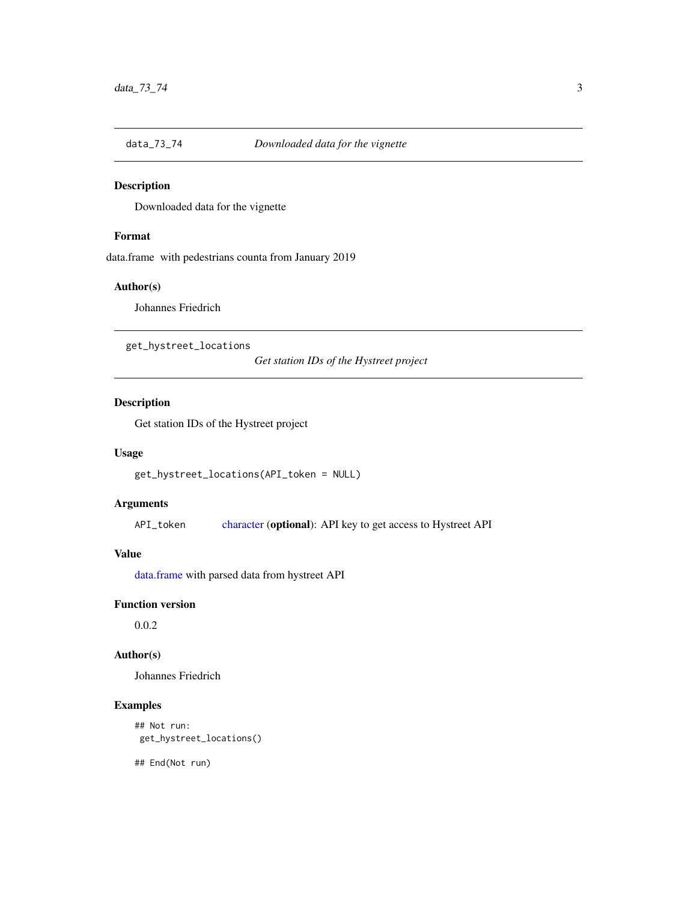<span id="page-2-0"></span>

#### Description

Downloaded data for the vignette

#### Format

data.frame with pedestrians counta from January 2019

#### Author(s)

Johannes Friedrich

<span id="page-2-1"></span>get\_hystreet\_locations

*Get station IDs of the Hystreet project*

#### Description

Get station IDs of the Hystreet project

#### Usage

```
get_hystreet_locations(API_token = NULL)
```
#### Arguments

API\_token [character](#page-0-0) (optional): API key to get access to Hystreet API

#### Value

[data.frame](#page-0-0) with parsed data from hystreet API

#### Function version

0.0.2

#### Author(s)

Johannes Friedrich

#### Examples

```
## Not run:
get_hystreet_locations()
```
## End(Not run)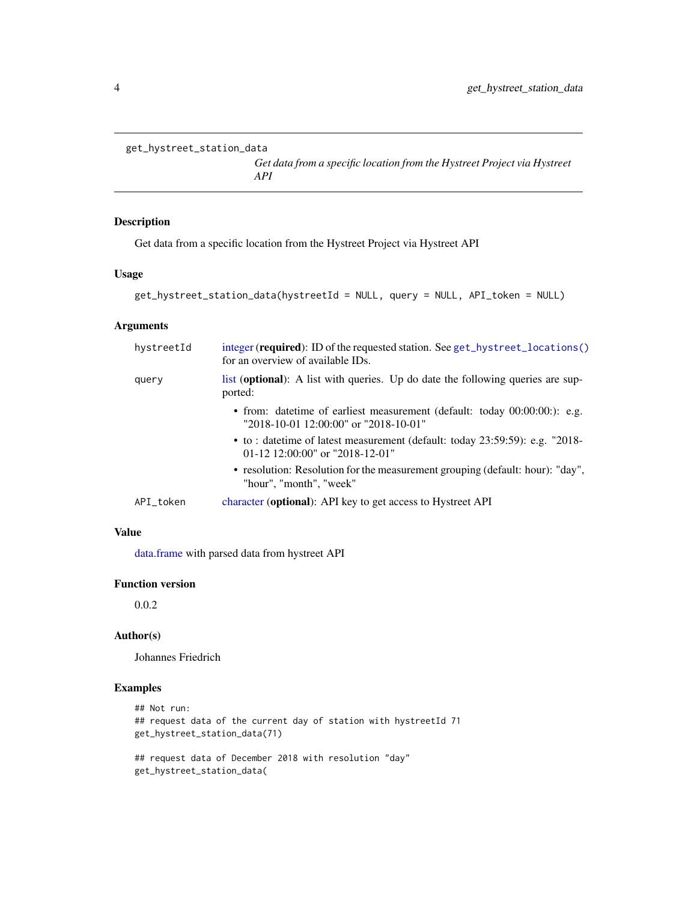```
get_hystreet_station_data
```
*Get data from a specific location from the Hystreet Project via Hystreet API*

#### Description

Get data from a specific location from the Hystreet Project via Hystreet API

#### Usage

```
get_hystreet_station_data(hystreetId = NULL, query = NULL, API_token = NULL)
```
#### Arguments

| hystreetId | integer ( <b>required</b> ): ID of the requested station. See get_hystreet_locations()<br>for an overview of available IDs. |
|------------|-----------------------------------------------------------------------------------------------------------------------------|
| query      | list (optional): A list with queries. Up do date the following queries are sup-<br>ported:                                  |
|            | • from: date time of earliest measurement (default: today $00:00:00$ :): e.g.<br>"2018-10-01 12:00:00" or "2018-10-01"      |
|            | • to: date time of latest measurement (default: today 23:59:59): e.g. "2018-<br>01-12 12:00:00" or "2018-12-01"             |
|            | • resolution: Resolution for the measurement grouping (default: hour): "day",<br>"hour", "month", "week"                    |
| API_token  | character (optional): API key to get access to Hystreet API                                                                 |

#### Value

[data.frame](#page-0-0) with parsed data from hystreet API

#### Function version

0.0.2

#### Author(s)

Johannes Friedrich

#### Examples

```
## Not run:
## request data of the current day of station with hystreetId 71
get_hystreet_station_data(71)
## request data of December 2018 with resolution "day"
get_hystreet_station_data(
```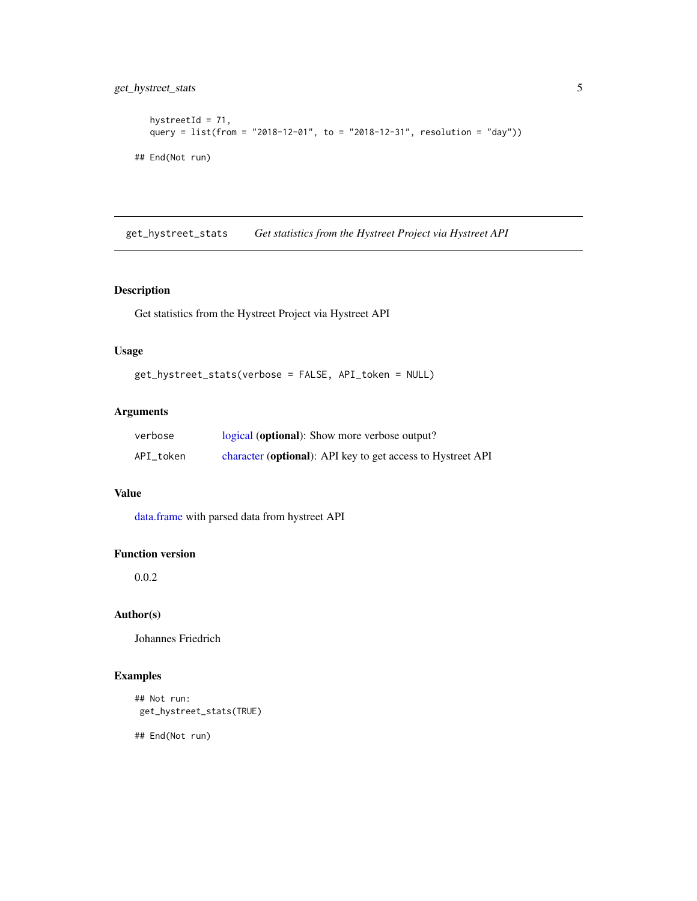#### <span id="page-4-0"></span>get\_hystreet\_stats 5

```
hystreetId = 71,
  query = list(from = "2018-12-01", to = "2018-12-31", resolution = "day"))
## End(Not run)
```
get\_hystreet\_stats *Get statistics from the Hystreet Project via Hystreet API*

#### Description

Get statistics from the Hystreet Project via Hystreet API

#### Usage

get\_hystreet\_stats(verbose = FALSE, API\_token = NULL)

#### Arguments

| verbose   | logical (optional): Show more verbose output?               |
|-----------|-------------------------------------------------------------|
| API token | character (optional): API key to get access to Hystreet API |

#### Value

[data.frame](#page-0-0) with parsed data from hystreet API

#### Function version

0.0.2

#### Author(s)

Johannes Friedrich

#### Examples

```
## Not run:
get_hystreet_stats(TRUE)
```
## End(Not run)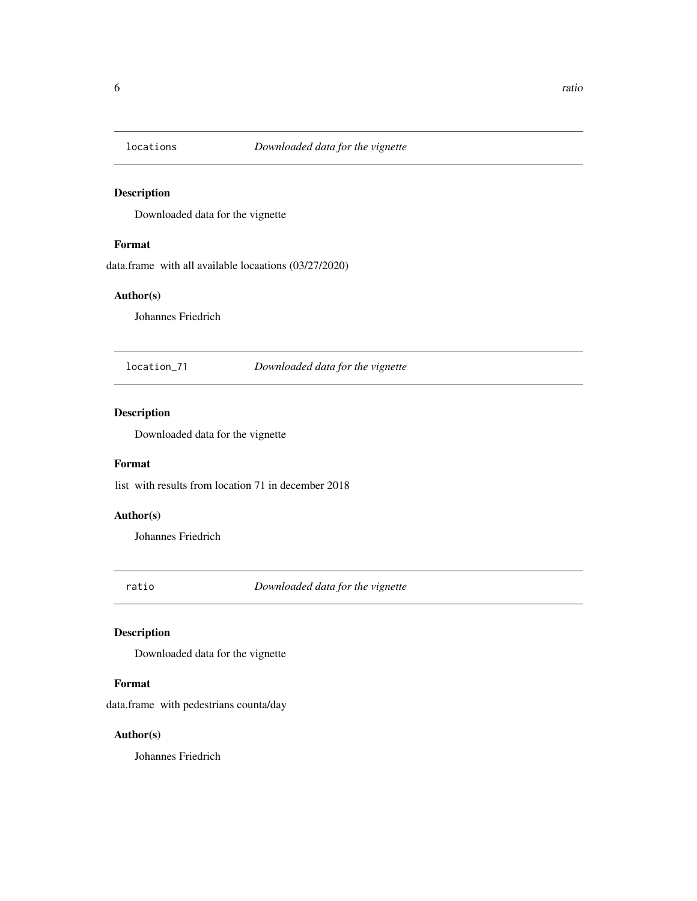<span id="page-5-0"></span>

#### Description

Downloaded data for the vignette

#### Format

data.frame with all available locaations (03/27/2020)

#### Author(s)

Johannes Friedrich

location\_71 *Downloaded data for the vignette*

#### Description

Downloaded data for the vignette

#### Format

list with results from location 71 in december 2018

#### Author(s)

Johannes Friedrich

ratio *Downloaded data for the vignette*

#### Description

Downloaded data for the vignette

#### Format

data.frame with pedestrians counta/day

#### Author(s)

Johannes Friedrich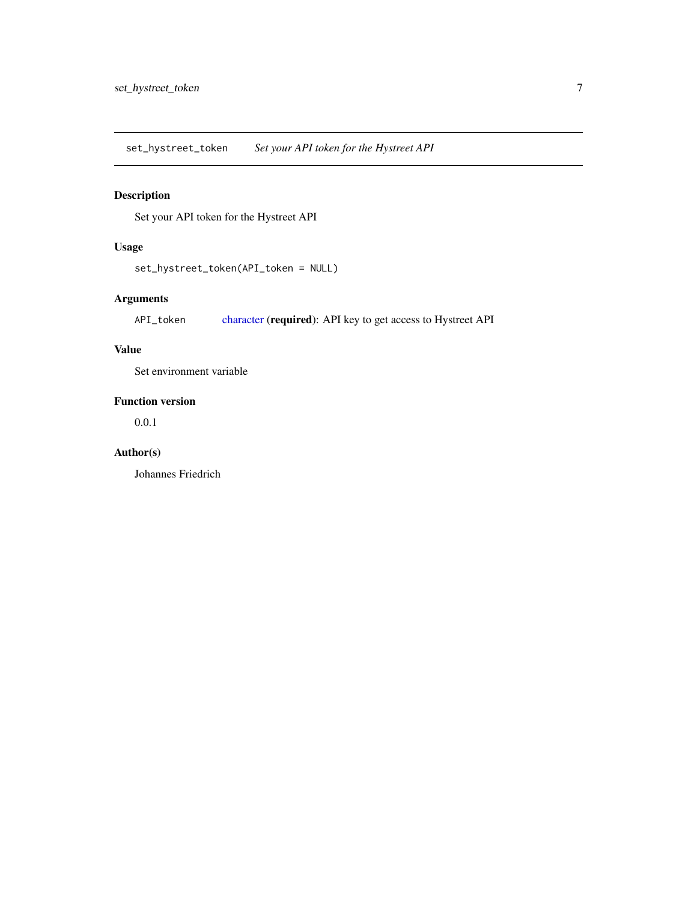<span id="page-6-0"></span>set\_hystreet\_token *Set your API token for the Hystreet API*

#### Description

Set your API token for the Hystreet API

#### Usage

```
set_hystreet_token(API_token = NULL)
```
#### Arguments

API\_token [character](#page-0-0) (required): API key to get access to Hystreet API

### Value

Set environment variable

#### Function version

0.0.1

#### Author(s)

Johannes Friedrich